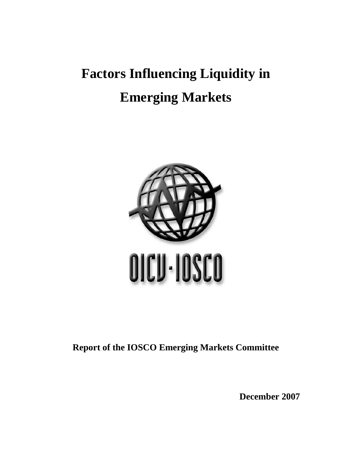# **Factors Influencing Liquidity in Emerging Markets**



**Report of the IOSCO Emerging Markets Committee** 

**December 2007**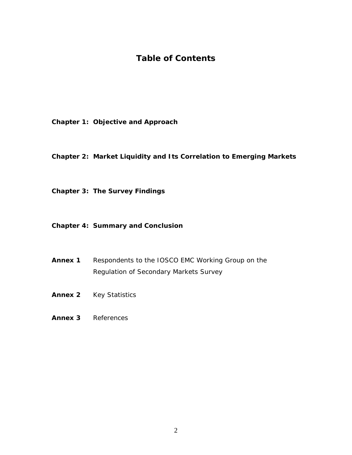# **Table of Contents**

- **Chapter 1: Objective and Approach**
- **Chapter 2: Market Liquidity and Its Correlation to Emerging Markets**
- **Chapter 3: The Survey Findings**

## **Chapter 4: Summary and Conclusion**

- **Annex 1** Respondents to the IOSCO EMC Working Group on the Regulation of Secondary Markets Survey
- **Annex 2** Key Statistics
- **Annex 3** References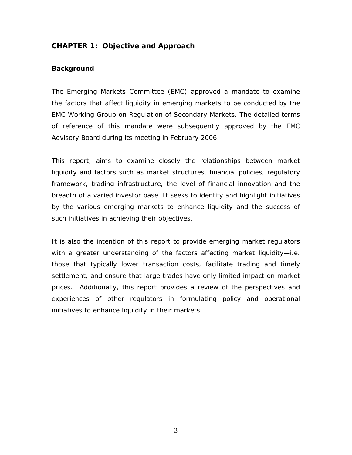## **CHAPTER 1: Objective and Approach**

## **Background**

The Emerging Markets Committee (EMC) approved a mandate to examine the factors that affect liquidity in emerging markets to be conducted by the EMC Working Group on Regulation of Secondary Markets. The detailed terms of reference of this mandate were subsequently approved by the EMC Advisory Board during its meeting in February 2006.

This report, aims to examine closely the relationships between market liquidity and factors such as market structures, financial policies, regulatory framework, trading infrastructure, the level of financial innovation and the breadth of a varied investor base. It seeks to identify and highlight initiatives by the various emerging markets to enhance liquidity and the success of such initiatives in achieving their objectives.

It is also the intention of this report to provide emerging market regulators with a greater understanding of the factors affecting market liquidity-i.e. those that typically lower transaction costs, facilitate trading and timely settlement, and ensure that large trades have only limited impact on market prices. Additionally, this report provides a review of the perspectives and experiences of other regulators in formulating policy and operational initiatives to enhance liquidity in their markets.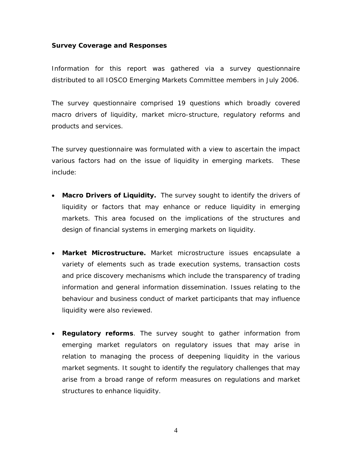#### **Survey Coverage and Responses**

Information for this report was gathered via a survey questionnaire distributed to all IOSCO Emerging Markets Committee members in July 2006.

The survey questionnaire comprised 19 questions which broadly covered macro drivers of liquidity, market micro-structure, regulatory reforms and products and services.

The survey questionnaire was formulated with a view to ascertain the impact various factors had on the issue of liquidity in emerging markets. These include:

- **Macro Drivers of Liquidity.** The survey sought to identify the drivers of liquidity or factors that may enhance or reduce liquidity in emerging markets. This area focused on the implications of the structures and design of financial systems in emerging markets on liquidity.
- **Market Microstructure.** Market microstructure issues encapsulate a variety of elements such as trade execution systems, transaction costs and price discovery mechanisms which include the transparency of trading information and general information dissemination. Issues relating to the behaviour and business conduct of market participants that may influence liquidity were also reviewed.
- **Regulatory reforms**. The survey sought to gather information from emerging market regulators on regulatory issues that may arise in relation to managing the process of deepening liquidity in the various market segments. It sought to identify the regulatory challenges that may arise from a broad range of reform measures on regulations and market structures to enhance liquidity.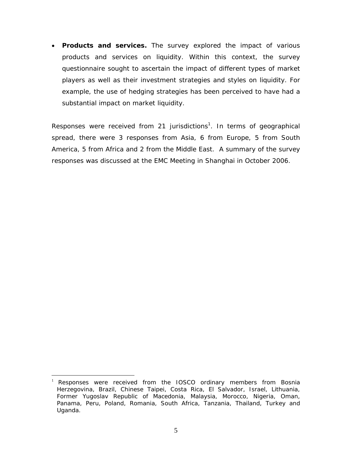• **Products and services.** The survey explored the impact of various products and services on liquidity. Within this context, the survey questionnaire sought to ascertain the impact of different types of market players as well as their investment strategies and styles on liquidity. For example, the use of hedging strategies has been perceived to have had a substantial impact on market liquidity.

Responses were received from 21 jurisdictions<sup>1</sup>. In terms of geographical spread, there were 3 responses from Asia, 6 from Europe, 5 from South America, 5 from Africa and 2 from the Middle East. A summary of the survey responses was discussed at the EMC Meeting in Shanghai in October 2006.

 $\overline{a}$ 

<sup>&</sup>lt;sup>1</sup> Responses were received from the IOSCO ordinary members from Bosnia Herzegovina, Brazil, Chinese Taipei, Costa Rica, El Salvador, Israel, Lithuania, Former Yugoslav Republic of Macedonia, Malaysia, Morocco, Nigeria, Oman, Panama, Peru, Poland, Romania, South Africa, Tanzania, Thailand, Turkey and Uganda.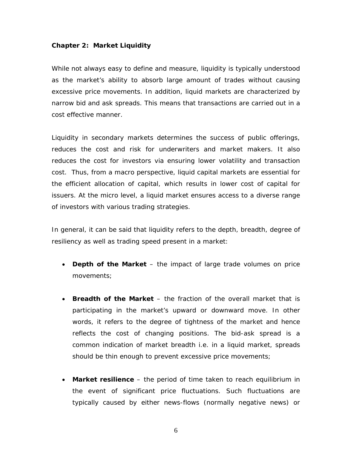#### **Chapter 2: Market Liquidity**

While not always easy to define and measure, liquidity is typically understood as the market's ability to absorb large amount of trades without causing excessive price movements. In addition, liquid markets are characterized by narrow bid and ask spreads. This means that transactions are carried out in a cost effective manner.

Liquidity in secondary markets determines the success of public offerings, reduces the cost and risk for underwriters and market makers. It also reduces the cost for investors via ensuring lower volatility and transaction cost. Thus, from a macro perspective, liquid capital markets are essential for the efficient allocation of capital, which results in lower cost of capital for issuers. At the micro level, a liquid market ensures access to a diverse range of investors with various trading strategies.

In general, it can be said that liquidity refers to the depth, breadth, degree of resiliency as well as trading speed present in a market:

- **Depth of the Market** the impact of large trade volumes on price movements;
- **Breadth of the Market**  the fraction of the overall market that is participating in the market's upward or downward move. In other words, it refers to the degree of tightness of the market and hence reflects the cost of changing positions. The bid-ask spread is a common indication of market breadth i.e. in a liquid market, spreads should be thin enough to prevent excessive price movements;
- **Market resilience**  the period of time taken to reach equilibrium in the event of significant price fluctuations. Such fluctuations are typically caused by either news-flows (normally negative news) or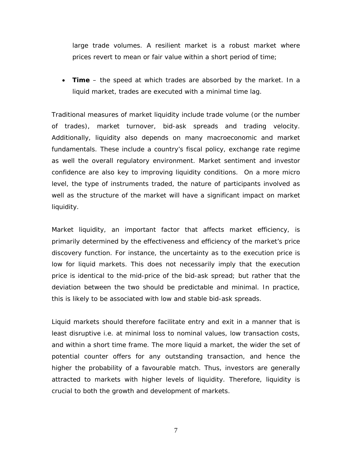large trade volumes. A resilient market is a robust market where prices revert to mean or fair value within a short period of time;

• **Time** – the speed at which trades are absorbed by the market. In a liquid market, trades are executed with a minimal time lag.

Traditional measures of market liquidity include trade volume (or the number of trades), market turnover, bid-ask spreads and trading velocity. Additionally, liquidity also depends on many macroeconomic and market fundamentals. These include a country's fiscal policy, exchange rate regime as well the overall regulatory environment. Market sentiment and investor confidence are also key to improving liquidity conditions. On a more micro level, the type of instruments traded, the nature of participants involved as well as the structure of the market will have a significant impact on market liquidity.

Market liquidity, an important factor that affects market efficiency, is primarily determined by the effectiveness and efficiency of the market's price discovery function. For instance, the uncertainty as to the execution price is low for liquid markets. This does not necessarily imply that the execution price is identical to the mid-price of the bid-ask spread; but rather that the deviation between the two should be predictable and minimal. In practice, this is likely to be associated with low and stable bid-ask spreads.

Liquid markets should therefore facilitate entry and exit in a manner that is least disruptive i.e. at minimal loss to nominal values, low transaction costs, and within a short time frame. The more liquid a market, the wider the set of potential counter offers for any outstanding transaction, and hence the higher the probability of a favourable match. Thus, investors are generally attracted to markets with higher levels of liquidity. Therefore, liquidity is crucial to both the growth and development of markets.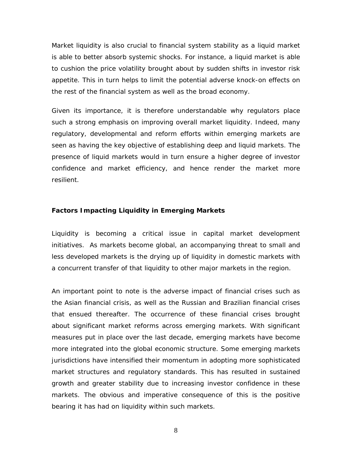Market liquidity is also crucial to financial system stability as a liquid market is able to better absorb systemic shocks. For instance, a liquid market is able to cushion the price volatility brought about by sudden shifts in investor risk appetite. This in turn helps to limit the potential adverse knock-on effects on the rest of the financial system as well as the broad economy.

Given its importance, it is therefore understandable why regulators place such a strong emphasis on improving overall market liquidity. Indeed, many regulatory, developmental and reform efforts within emerging markets are seen as having the key objective of establishing deep and liquid markets. The presence of liquid markets would in turn ensure a higher degree of investor confidence and market efficiency, and hence render the market more resilient.

#### **Factors Impacting Liquidity in Emerging Markets**

Liquidity is becoming a critical issue in capital market development initiatives. As markets become global, an accompanying threat to small and less developed markets is the drying up of liquidity in domestic markets with a concurrent transfer of that liquidity to other major markets in the region.

An important point to note is the adverse impact of financial crises such as the Asian financial crisis, as well as the Russian and Brazilian financial crises that ensued thereafter. The occurrence of these financial crises brought about significant market reforms across emerging markets. With significant measures put in place over the last decade, emerging markets have become more integrated into the global economic structure. Some emerging markets jurisdictions have intensified their momentum in adopting more sophisticated market structures and regulatory standards. This has resulted in sustained growth and greater stability due to increasing investor confidence in these markets. The obvious and imperative consequence of this is the positive bearing it has had on liquidity within such markets.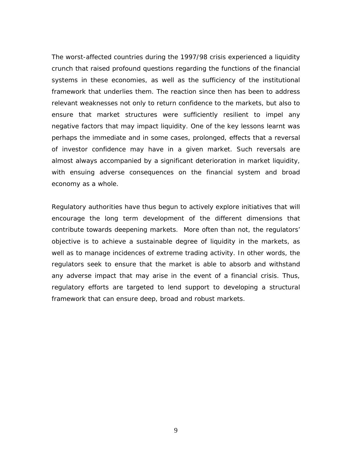The worst-affected countries during the 1997/98 crisis experienced a liquidity crunch that raised profound questions regarding the functions of the financial systems in these economies, as well as the sufficiency of the institutional framework that underlies them. The reaction since then has been to address relevant weaknesses not only to return confidence to the markets, but also to ensure that market structures were sufficiently resilient to impel any negative factors that may impact liquidity. One of the key lessons learnt was perhaps the immediate and in some cases, prolonged, effects that a reversal of investor confidence may have in a given market. Such reversals are almost always accompanied by a significant deterioration in market liquidity, with ensuing adverse consequences on the financial system and broad economy as a whole.

Regulatory authorities have thus begun to actively explore initiatives that will encourage the long term development of the different dimensions that contribute towards deepening markets. More often than not, the regulators' objective is to achieve a sustainable degree of liquidity in the markets, as well as to manage incidences of extreme trading activity. In other words, the regulators seek to ensure that the market is able to absorb and withstand any adverse impact that may arise in the event of a financial crisis. Thus, regulatory efforts are targeted to lend support to developing a structural framework that can ensure deep, broad and robust markets.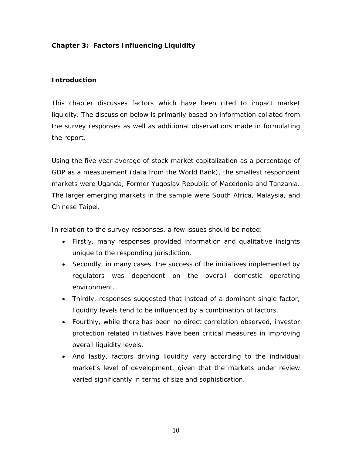## **Chapter 3: Factors Influencing Liquidity**

## **Introduction**

This chapter discusses factors which have been cited to impact market liquidity. The discussion below is primarily based on information collated from the survey responses as well as additional observations made in formulating the report.

Using the five year average of stock market capitalization as a percentage of GDP as a measurement (data from the World Bank), the smallest respondent markets were Uganda, Former Yugoslav Republic of Macedonia and Tanzania. The larger emerging markets in the sample were South Africa, Malaysia, and Chinese Taipei.

In relation to the survey responses, a few issues should be noted:

- Firstly, many responses provided information and qualitative insights unique to the responding jurisdiction.
- Secondly, in many cases, the success of the initiatives implemented by regulators was dependent on the overall domestic operating environment.
- Thirdly, responses suggested that instead of a dominant single factor, liquidity levels tend to be influenced by a combination of factors.
- Fourthly, while there has been no direct correlation observed, investor protection related initiatives have been critical measures in improving overall liquidity levels.
- And lastly, factors driving liquidity vary according to the individual market's level of development, given that the markets under review varied significantly in terms of size and sophistication.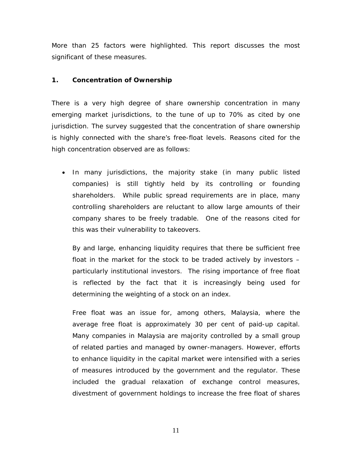More than 25 factors were highlighted. This report discusses the most significant of these measures.

## **1. Concentration of Ownership**

There is a very high degree of share ownership concentration in many emerging market jurisdictions, to the tune of up to 70% as cited by one jurisdiction. The survey suggested that the concentration of share ownership is highly connected with the share's free-float levels. Reasons cited for the high concentration observed are as follows:

• In many jurisdictions, the majority stake (in many public listed companies) is still tightly held by its controlling or founding shareholders. While public spread requirements are in place, many controlling shareholders are reluctant to allow large amounts of their company shares to be freely tradable. One of the reasons cited for this was their vulnerability to takeovers.

By and large, enhancing liquidity requires that there be sufficient free float in the market for the stock to be traded actively by investors – particularly institutional investors. The rising importance of free float is reflected by the fact that it is increasingly being used for determining the weighting of a stock on an index.

Free float was an issue for, among others, Malaysia, where the average free float is approximately 30 per cent of paid-up capital. Many companies in Malaysia are majority controlled by a small group of related parties and managed by owner-managers. However, efforts to enhance liquidity in the capital market were intensified with a series of measures introduced by the government and the regulator. These included the gradual relaxation of exchange control measures, divestment of government holdings to increase the free float of shares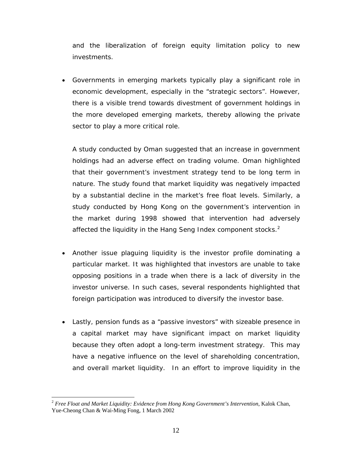and the liberalization of foreign equity limitation policy to new investments.

• Governments in emerging markets typically play a significant role in economic development, especially in the "strategic sectors". However, there is a visible trend towards divestment of government holdings in the more developed emerging markets, thereby allowing the private sector to play a more critical role.

A study conducted by Oman suggested that an increase in government holdings had an adverse effect on trading volume. Oman highlighted that their government's investment strategy tend to be long term in nature. The study found that market liquidity was negatively impacted by a substantial decline in the market's free float levels. Similarly, a study conducted by Hong Kong on the government's intervention in the market during 1998 showed that intervention had adversely affected the liquidity in the Hang Seng Index component stocks. $2$ 

- Another issue plaguing liquidity is the investor profile dominating a particular market. It was highlighted that investors are unable to take opposing positions in a trade when there is a lack of diversity in the investor universe. In such cases, several respondents highlighted that foreign participation was introduced to diversify the investor base.
- Lastly, pension funds as a "passive investors" with sizeable presence in a capital market may have significant impact on market liquidity because they often adopt a long-term investment strategy. This may have a negative influence on the level of shareholding concentration, and overall market liquidity. In an effort to improve liquidity in the

 $\overline{a}$ 

<sup>2</sup> *Free Float and Market Liquidity: Evidence from Hong Kong Government's Intervention*, Kalok Chan, Yue-Cheong Chan & Wai-Ming Fong, 1 March 2002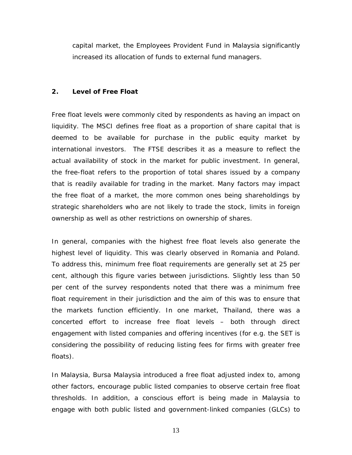capital market, the Employees Provident Fund in Malaysia significantly increased its allocation of funds to external fund managers.

## **2. Level of Free Float**

Free float levels were commonly cited by respondents as having an impact on liquidity. The MSCI defines free float as a proportion of share capital that is deemed to be available for purchase in the public equity market by international investors. The FTSE describes it as a measure to reflect the actual availability of stock in the market for public investment. In general, the free-float refers to the proportion of total shares issued by a company that is readily available for trading in the market. Many factors may impact the free float of a market, the more common ones being shareholdings by strategic shareholders who are not likely to trade the stock, limits in foreign ownership as well as other restrictions on ownership of shares.

In general, companies with the highest free float levels also generate the highest level of liquidity. This was clearly observed in Romania and Poland. To address this, minimum free float requirements are generally set at 25 per cent, although this figure varies between jurisdictions. Slightly less than 50 per cent of the survey respondents noted that there was a minimum free float requirement in their jurisdiction and the aim of this was to ensure that the markets function efficiently. In one market, Thailand, there was a concerted effort to increase free float levels – both through direct engagement with listed companies and offering incentives (for e.g. the SET is considering the possibility of reducing listing fees for firms with greater free floats).

In Malaysia, Bursa Malaysia introduced a free float adjusted index to, among other factors, encourage public listed companies to observe certain free float thresholds. In addition, a conscious effort is being made in Malaysia to engage with both public listed and government-linked companies (GLCs) to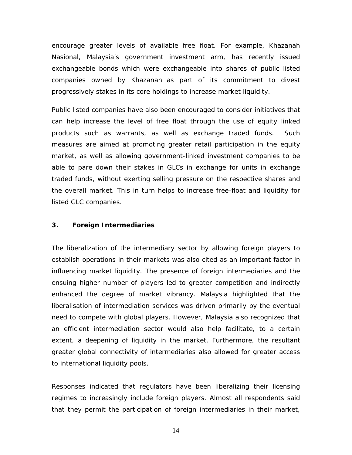encourage greater levels of available free float. For example, Khazanah Nasional, Malaysia's government investment arm, has recently issued exchangeable bonds which were exchangeable into shares of public listed companies owned by Khazanah as part of its commitment to divest progressively stakes in its core holdings to increase market liquidity.

Public listed companies have also been encouraged to consider initiatives that can help increase the level of free float through the use of equity linked products such as warrants, as well as exchange traded funds. Such measures are aimed at promoting greater retail participation in the equity market, as well as allowing government-linked investment companies to be able to pare down their stakes in GLCs in exchange for units in exchange traded funds, without exerting selling pressure on the respective shares and the overall market. This in turn helps to increase free-float and liquidity for listed GLC companies.

## **3. Foreign Intermediaries**

The liberalization of the intermediary sector by allowing foreign players to establish operations in their markets was also cited as an important factor in influencing market liquidity. The presence of foreign intermediaries and the ensuing higher number of players led to greater competition and indirectly enhanced the degree of market vibrancy. Malaysia highlighted that the liberalisation of intermediation services was driven primarily by the eventual need to compete with global players. However, Malaysia also recognized that an efficient intermediation sector would also help facilitate, to a certain extent, a deepening of liquidity in the market. Furthermore, the resultant greater global connectivity of intermediaries also allowed for greater access to international liquidity pools.

Responses indicated that regulators have been liberalizing their licensing regimes to increasingly include foreign players. Almost all respondents said that they permit the participation of foreign intermediaries in their market,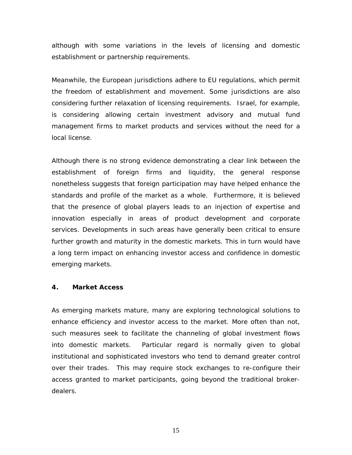although with some variations in the levels of licensing and domestic establishment or partnership requirements.

Meanwhile, the European jurisdictions adhere to EU regulations, which permit the freedom of establishment and movement. Some jurisdictions are also considering further relaxation of licensing requirements. Israel, for example, is considering allowing certain investment advisory and mutual fund management firms to market products and services without the need for a local license.

Although there is no strong evidence demonstrating a clear link between the establishment of foreign firms and liquidity, the general response nonetheless suggests that foreign participation may have helped enhance the standards and profile of the market as a whole. Furthermore, it is believed that the presence of global players leads to an injection of expertise and innovation especially in areas of product development and corporate services. Developments in such areas have generally been critical to ensure further growth and maturity in the domestic markets. This in turn would have a long term impact on enhancing investor access and confidence in domestic emerging markets.

#### **4. Market Access**

As emerging markets mature, many are exploring technological solutions to enhance efficiency and investor access to the market. More often than not, such measures seek to facilitate the channeling of global investment flows into domestic markets. Particular regard is normally given to global institutional and sophisticated investors who tend to demand greater control over their trades. This may require stock exchanges to re-configure their access granted to market participants, going beyond the traditional brokerdealers.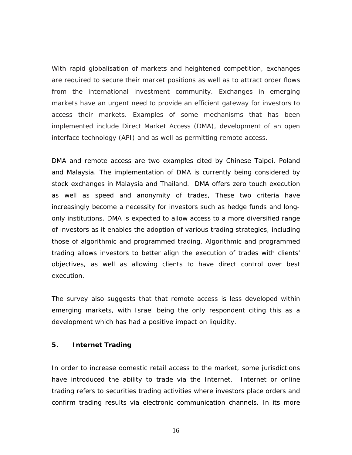With rapid globalisation of markets and heightened competition, exchanges are required to secure their market positions as well as to attract order flows from the international investment community. Exchanges in emerging markets have an urgent need to provide an efficient gateway for investors to access their markets. Examples of some mechanisms that has been implemented include Direct Market Access (DMA), development of an open interface technology (API) and as well as permitting remote access.

DMA and remote access are two examples cited by Chinese Taipei, Poland and Malaysia. The implementation of DMA is currently being considered by stock exchanges in Malaysia and Thailand. DMA offers zero touch execution as well as speed and anonymity of trades, These two criteria have increasingly become a necessity for investors such as hedge funds and longonly institutions. DMA is expected to allow access to a more diversified range of investors as it enables the adoption of various trading strategies, including those of algorithmic and programmed trading. Algorithmic and programmed trading allows investors to better align the execution of trades with clients' objectives, as well as allowing clients to have direct control over best execution.

The survey also suggests that that remote access is less developed within emerging markets, with Israel being the only respondent citing this as a development which has had a positive impact on liquidity.

## **5. Internet Trading**

In order to increase domestic retail access to the market, some jurisdictions have introduced the ability to trade via the Internet. Internet or online trading refers to securities trading activities where investors place orders and confirm trading results via electronic communication channels. In its more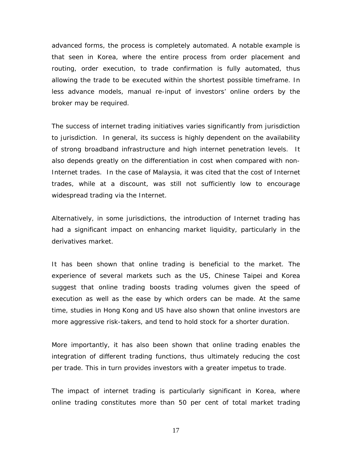advanced forms, the process is completely automated. A notable example is that seen in Korea, where the entire process from order placement and routing, order execution, to trade confirmation is fully automated, thus allowing the trade to be executed within the shortest possible timeframe. In less advance models, manual re-input of investors' online orders by the broker may be required.

The success of internet trading initiatives varies significantly from jurisdiction to jurisdiction. In general, its success is highly dependent on the availability of strong broadband infrastructure and high internet penetration levels. It also depends greatly on the differentiation in cost when compared with non-Internet trades. In the case of Malaysia, it was cited that the cost of Internet trades, while at a discount, was still not sufficiently low to encourage widespread trading via the Internet.

Alternatively, in some jurisdictions, the introduction of Internet trading has had a significant impact on enhancing market liquidity, particularly in the derivatives market.

It has been shown that online trading is beneficial to the market. The experience of several markets such as the US, Chinese Taipei and Korea suggest that online trading boosts trading volumes given the speed of execution as well as the ease by which orders can be made. At the same time, studies in Hong Kong and US have also shown that online investors are more aggressive risk-takers, and tend to hold stock for a shorter duration.

More importantly, it has also been shown that online trading enables the integration of different trading functions, thus ultimately reducing the cost per trade. This in turn provides investors with a greater impetus to trade.

The impact of internet trading is particularly significant in Korea, where online trading constitutes more than 50 per cent of total market trading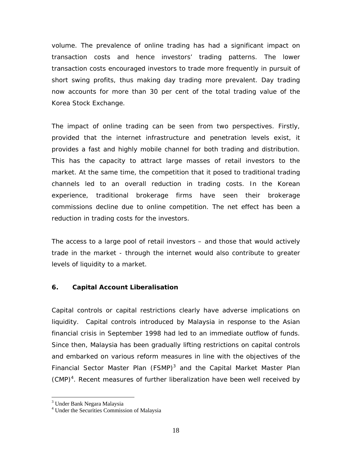volume. The prevalence of online trading has had a significant impact on transaction costs and hence investors' trading patterns. The lower transaction costs encouraged investors to trade more frequently in pursuit of short swing profits, thus making day trading more prevalent. Day trading now accounts for more than 30 per cent of the total trading value of the Korea Stock Exchange.

The impact of online trading can be seen from two perspectives. Firstly, provided that the internet infrastructure and penetration levels exist, it provides a fast and highly mobile channel for both trading and distribution. This has the capacity to attract large masses of retail investors to the market. At the same time, the competition that it posed to traditional trading channels led to an overall reduction in trading costs. In the Korean experience, traditional brokerage firms have seen their brokerage commissions decline due to online competition. The net effect has been a reduction in trading costs for the investors.

The access to a large pool of retail investors – and those that would actively trade in the market - through the internet would also contribute to greater levels of liquidity to a market.

## **6. Capital Account Liberalisation**

Capital controls or capital restrictions clearly have adverse implications on liquidity. Capital controls introduced by Malaysia in response to the Asian financial crisis in September 1998 had led to an immediate outflow of funds. Since then, Malaysia has been gradually lifting restrictions on capital controls and embarked on various reform measures in line with the objectives of the Financial Sector Master Plan (FSMP) $3$  and the Capital Market Master Plan (CMP)<sup>4</sup>. Recent measures of further liberalization have been well received by

 $\overline{a}$ 

<sup>&</sup>lt;sup>3</sup> Under Bank Negara Malaysia

<sup>4</sup> Under the Securities Commission of Malaysia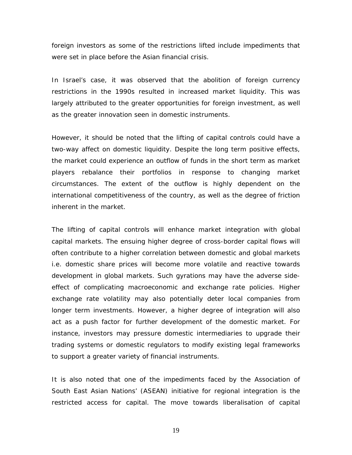foreign investors as some of the restrictions lifted include impediments that were set in place before the Asian financial crisis.

In Israel's case, it was observed that the abolition of foreign currency restrictions in the 1990s resulted in increased market liquidity. This was largely attributed to the greater opportunities for foreign investment, as well as the greater innovation seen in domestic instruments.

However, it should be noted that the lifting of capital controls could have a two-way affect on domestic liquidity. Despite the long term positive effects, the market could experience an outflow of funds in the short term as market players rebalance their portfolios in response to changing market circumstances. The extent of the outflow is highly dependent on the international competitiveness of the country, as well as the degree of friction inherent in the market.

The lifting of capital controls will enhance market integration with global capital markets. The ensuing higher degree of cross-border capital flows will often contribute to a higher correlation between domestic and global markets i.e. domestic share prices will become more volatile and reactive towards development in global markets. Such gyrations may have the adverse sideeffect of complicating macroeconomic and exchange rate policies. Higher exchange rate volatility may also potentially deter local companies from longer term investments. However, a higher degree of integration will also act as a push factor for further development of the domestic market. For instance, investors may pressure domestic intermediaries to upgrade their trading systems or domestic regulators to modify existing legal frameworks to support a greater variety of financial instruments.

It is also noted that one of the impediments faced by the Association of South East Asian Nations' (ASEAN) initiative for regional integration is the restricted access for capital. The move towards liberalisation of capital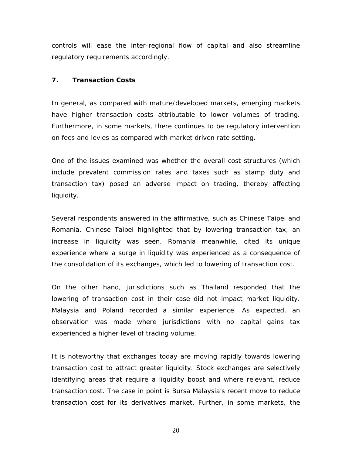controls will ease the inter-regional flow of capital and also streamline regulatory requirements accordingly.

#### **7. Transaction Costs**

In general, as compared with mature/developed markets, emerging markets have higher transaction costs attributable to lower volumes of trading. Furthermore, in some markets, there continues to be regulatory intervention on fees and levies as compared with market driven rate setting.

One of the issues examined was whether the overall cost structures (which include prevalent commission rates and taxes such as stamp duty and transaction tax) posed an adverse impact on trading, thereby affecting liquidity.

Several respondents answered in the affirmative, such as Chinese Taipei and Romania. Chinese Taipei highlighted that by lowering transaction tax, an increase in liquidity was seen. Romania meanwhile, cited its unique experience where a surge in liquidity was experienced as a consequence of the consolidation of its exchanges, which led to lowering of transaction cost.

On the other hand, jurisdictions such as Thailand responded that the lowering of transaction cost in their case did not impact market liquidity. Malaysia and Poland recorded a similar experience. As expected, an observation was made where jurisdictions with no capital gains tax experienced a higher level of trading volume.

It is noteworthy that exchanges today are moving rapidly towards lowering transaction cost to attract greater liquidity. Stock exchanges are selectively identifying areas that require a liquidity boost and where relevant, reduce transaction cost. The case in point is Bursa Malaysia's recent move to reduce transaction cost for its derivatives market. Further, in some markets, the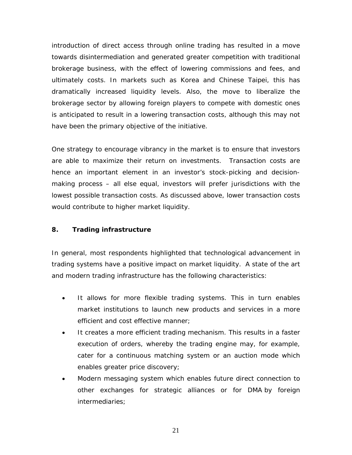introduction of direct access through online trading has resulted in a move towards disintermediation and generated greater competition with traditional brokerage business, with the effect of lowering commissions and fees, and ultimately costs. In markets such as Korea and Chinese Taipei, this has dramatically increased liquidity levels. Also, the move to liberalize the brokerage sector by allowing foreign players to compete with domestic ones is anticipated to result in a lowering transaction costs, although this may not have been the primary objective of the initiative.

One strategy to encourage vibrancy in the market is to ensure that investors are able to maximize their return on investments. Transaction costs are hence an important element in an investor's stock-picking and decisionmaking process – all else equal, investors will prefer jurisdictions with the lowest possible transaction costs. As discussed above, lower transaction costs would contribute to higher market liquidity.

## **8. Trading infrastructure**

In general, most respondents highlighted that technological advancement in trading systems have a positive impact on market liquidity. A state of the art and modern trading infrastructure has the following characteristics:

- It allows for more flexible trading systems. This in turn enables market institutions to launch new products and services in a more efficient and cost effective manner;
- It creates a more efficient trading mechanism. This results in a faster execution of orders, whereby the trading engine may, for example, cater for a continuous matching system or an auction mode which enables greater price discovery;
- Modern messaging system which enables future direct connection to other exchanges for strategic alliances or for DMA by foreign intermediaries;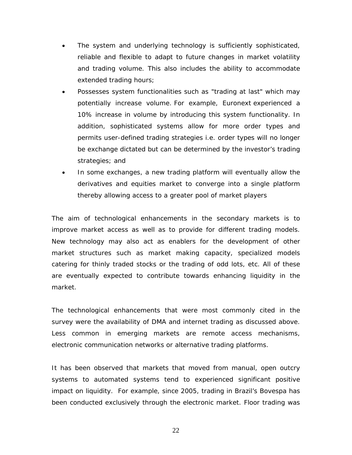- The system and underlying technology is sufficiently sophisticated, reliable and flexible to adapt to future changes in market volatility and trading volume. This also includes the ability to accommodate extended trading hours;
- Possesses system functionalities such as "*trading at last*" which may potentially increase volume. For example, Euronext experienced a 10% increase in volume by introducing this system functionality. In addition, sophisticated systems allow for more order types and permits user-defined trading strategies i.e. order types will no longer be exchange dictated but can be determined by the investor's trading strategies; and
- In some exchanges, a new trading platform will eventually allow the derivatives and equities market to converge into a single platform thereby allowing access to a greater pool of market players

The aim of technological enhancements in the secondary markets is to improve market access as well as to provide for different trading models. New technology may also act as enablers for the development of other market structures such as market making capacity, specialized models catering for thinly traded stocks or the trading of odd lots, etc. All of these are eventually expected to contribute towards enhancing liquidity in the market.

The technological enhancements that were most commonly cited in the survey were the availability of DMA and internet trading as discussed above. Less common in emerging markets are remote access mechanisms, electronic communication networks or alternative trading platforms.

It has been observed that markets that moved from manual, open outcry systems to automated systems tend to experienced significant positive impact on liquidity. For example, since 2005, trading in Brazil's Bovespa has been conducted exclusively through the electronic market. Floor trading was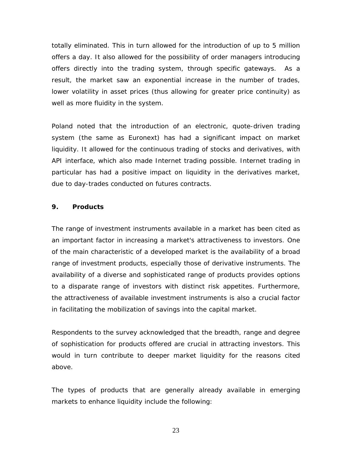totally eliminated. This in turn allowed for the introduction of up to 5 million offers a day. It also allowed for the possibility of order managers introducing offers directly into the trading system, through specific gateways. As a result, the market saw an exponential increase in the number of trades, lower volatility in asset prices (thus allowing for greater price continuity) as well as more fluidity in the system.

Poland noted that the introduction of an electronic, quote-driven trading system (the same as Euronext) has had a significant impact on market liquidity. It allowed for the continuous trading of stocks and derivatives, with API interface, which also made Internet trading possible. Internet trading in particular has had a positive impact on liquidity in the derivatives market, due to day-trades conducted on futures contracts.

## **9. Products**

The range of investment instruments available in a market has been cited as an important factor in increasing a market's attractiveness to investors. One of the main characteristic of a developed market is the availability of a broad range of investment products, especially those of derivative instruments. The availability of a diverse and sophisticated range of products provides options to a disparate range of investors with distinct risk appetites. Furthermore, the attractiveness of available investment instruments is also a crucial factor in facilitating the mobilization of savings into the capital market.

Respondents to the survey acknowledged that the breadth, range and degree of sophistication for products offered are crucial in attracting investors. This would in turn contribute to deeper market liquidity for the reasons cited above.

The types of products that are generally already available in emerging markets to enhance liquidity include the following: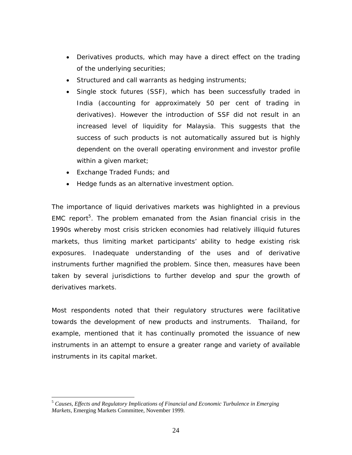- Derivatives products, which may have a direct effect on the trading of the underlying securities;
- Structured and call warrants as hedging instruments;
- Single stock futures (SSF), which has been successfully traded in India (accounting for approximately 50 per cent of trading in derivatives). However the introduction of SSF did not result in an increased level of liquidity for Malaysia. This suggests that the success of such products is not automatically assured but is highly dependent on the overall operating environment and investor profile within a given market;
- Exchange Traded Funds; and

 $\overline{a}$ 

• Hedge funds as an alternative investment option.

The importance of liquid derivatives markets was highlighted in a previous EMC report<sup>5</sup>. The problem emanated from the Asian financial crisis in the 1990s whereby most crisis stricken economies had relatively illiquid futures markets, thus limiting market participants' ability to hedge existing risk exposures. Inadequate understanding of the uses and of derivative instruments further magnified the problem. Since then, measures have been taken by several jurisdictions to further develop and spur the growth of derivatives markets.

Most respondents noted that their regulatory structures were facilitative towards the development of new products and instruments. Thailand, for example, mentioned that it has continually promoted the issuance of new instruments in an attempt to ensure a greater range and variety of available instruments in its capital market.

<sup>5</sup> *Causes, Effects and Regulatory Implications of Financial and Economic Turbulence in Emerging Markets*, Emerging Markets Committee, November 1999.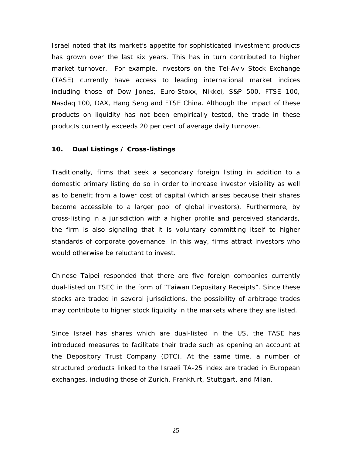Israel noted that its market's appetite for sophisticated investment products has grown over the last six years. This has in turn contributed to higher market turnover. For example, investors on the Tel-Aviv Stock Exchange (TASE) currently have access to leading international market indices including those of Dow Jones, Euro-Stoxx, Nikkei, S&P 500, FTSE 100, Nasdaq 100, DAX, Hang Seng and FTSE China. Although the impact of these products on liquidity has not been empirically tested, the trade in these products currently exceeds 20 per cent of average daily turnover.

#### **10. Dual Listings / Cross-listings**

Traditionally, firms that seek a secondary foreign listing in addition to a domestic primary listing do so in order to increase investor visibility as well as to benefit from a lower cost of capital (which arises because their shares become accessible to a larger pool of global investors). Furthermore, by cross-listing in a jurisdiction with a higher profile and perceived standards, the firm is also signaling that it is voluntary committing itself to higher standards of corporate governance. In this way, firms attract investors who would otherwise be reluctant to invest.

Chinese Taipei responded that there are five foreign companies currently dual-listed on TSEC in the form of "Taiwan Depositary Receipts". Since these stocks are traded in several jurisdictions, the possibility of arbitrage trades may contribute to higher stock liquidity in the markets where they are listed.

Since Israel has shares which are dual-listed in the US, the TASE has introduced measures to facilitate their trade such as opening an account at the Depository Trust Company (DTC). At the same time, a number of structured products linked to the Israeli TA-25 index are traded in European exchanges, including those of Zurich, Frankfurt, Stuttgart, and Milan.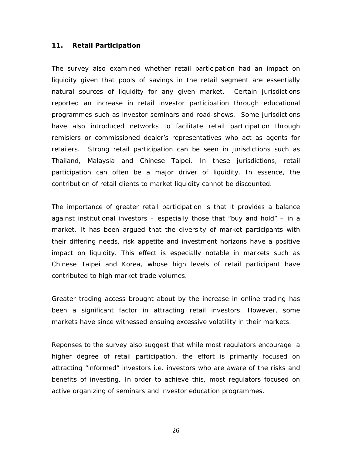#### **11. Retail Participation**

The survey also examined whether retail participation had an impact on liquidity given that pools of savings in the retail segment are essentially natural sources of liquidity for any given market. Certain jurisdictions reported an increase in retail investor participation through educational programmes such as investor seminars and road-shows. Some jurisdictions have also introduced networks to facilitate retail participation through remisiers or commissioned dealer's representatives who act as agents for retailers. Strong retail participation can be seen in jurisdictions such as Thailand, Malaysia and Chinese Taipei. In these jurisdictions, retail participation can often be a major driver of liquidity. In essence, the contribution of retail clients to market liquidity cannot be discounted.

The importance of greater retail participation is that it provides a balance against institutional investors – especially those that "buy and hold" – in a market. It has been argued that the diversity of market participants with their differing needs, risk appetite and investment horizons have a positive impact on liquidity. This effect is especially notable in markets such as Chinese Taipei and Korea, whose high levels of retail participant have contributed to high market trade volumes.

Greater trading access brought about by the increase in online trading has been a significant factor in attracting retail investors. However, some markets have since witnessed ensuing excessive volatility in their markets.

Reponses to the survey also suggest that while most regulators encourage a higher degree of retail participation, the effort is primarily focused on attracting "informed" investors i.e. investors who are aware of the risks and benefits of investing. In order to achieve this, most regulators focused on active organizing of seminars and investor education programmes.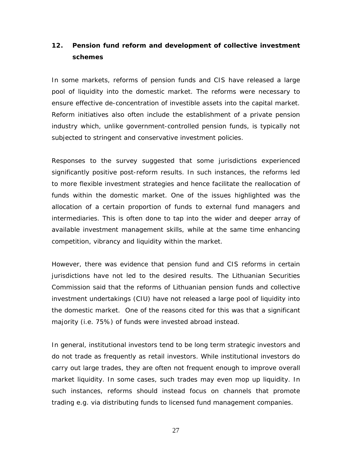## **12. Pension fund reform and development of collective investment schemes**

In some markets, reforms of pension funds and CIS have released a large pool of liquidity into the domestic market. The reforms were necessary to ensure effective de-concentration of investible assets into the capital market. Reform initiatives also often include the establishment of a private pension industry which, unlike government-controlled pension funds, is typically not subjected to stringent and conservative investment policies.

Responses to the survey suggested that some jurisdictions experienced significantly positive post-reform results. In such instances, the reforms led to more flexible investment strategies and hence facilitate the reallocation of funds within the domestic market. One of the issues highlighted was the allocation of a certain proportion of funds to external fund managers and intermediaries. This is often done to tap into the wider and deeper array of available investment management skills, while at the same time enhancing competition, vibrancy and liquidity within the market.

However, there was evidence that pension fund and CIS reforms in certain jurisdictions have not led to the desired results. The Lithuanian Securities Commission said that the reforms of Lithuanian pension funds and collective investment undertakings (CIU) have not released a large pool of liquidity into the domestic market. One of the reasons cited for this was that a significant majority (i.e. 75%) of funds were invested abroad instead.

In general, institutional investors tend to be long term strategic investors and do not trade as frequently as retail investors. While institutional investors do carry out large trades, they are often not frequent enough to improve overall market liquidity. In some cases, such trades may even mop up liquidity. In such instances, reforms should instead focus on channels that promote trading e.g. via distributing funds to licensed fund management companies.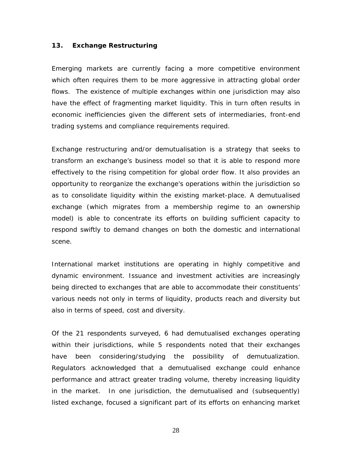#### **13. Exchange Restructuring**

Emerging markets are currently facing a more competitive environment which often requires them to be more aggressive in attracting global order flows. The existence of multiple exchanges within one jurisdiction may also have the effect of fragmenting market liquidity. This in turn often results in economic inefficiencies given the different sets of intermediaries, front-end trading systems and compliance requirements required.

Exchange restructuring and/or demutualisation is a strategy that seeks to transform an exchange's business model so that it is able to respond more effectively to the rising competition for global order flow. It also provides an opportunity to reorganize the exchange's operations within the jurisdiction so as to consolidate liquidity within the existing market-place. A demutualised exchange (which migrates from a membership regime to an ownership model) is able to concentrate its efforts on building sufficient capacity to respond swiftly to demand changes on both the domestic and international scene.

International market institutions are operating in highly competitive and dynamic environment. Issuance and investment activities are increasingly being directed to exchanges that are able to accommodate their constituents' various needs not only in terms of liquidity, products reach and diversity but also in terms of speed, cost and diversity.

Of the 21 respondents surveyed, 6 had demutualised exchanges operating within their jurisdictions, while 5 respondents noted that their exchanges have been considering/studying the possibility of demutualization. Regulators acknowledged that a demutualised exchange could enhance performance and attract greater trading volume, thereby increasing liquidity in the market. In one jurisdiction, the demutualised and (subsequently) listed exchange, focused a significant part of its efforts on enhancing market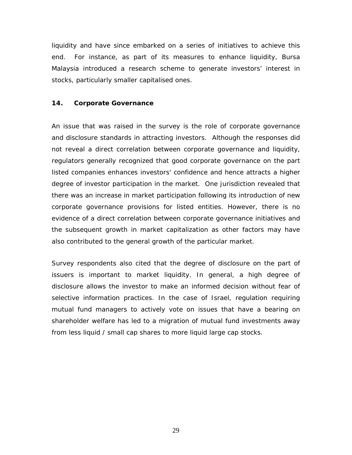liquidity and have since embarked on a series of initiatives to achieve this end. For instance, as part of its measures to enhance liquidity, Bursa Malaysia introduced a research scheme to generate investors' interest in stocks, particularly smaller capitalised ones.

#### **14. Corporate Governance**

An issue that was raised in the survey is the role of corporate governance and disclosure standards in attracting investors. Although the responses did not reveal a direct correlation between corporate governance and liquidity, regulators generally recognized that good corporate governance on the part listed companies enhances investors' confidence and hence attracts a higher degree of investor participation in the market. One jurisdiction revealed that there was an increase in market participation following its introduction of new corporate governance provisions for listed entities. However, there is no evidence of a direct correlation between corporate governance initiatives and the subsequent growth in market capitalization as other factors may have also contributed to the general growth of the particular market.

Survey respondents also cited that the degree of disclosure on the part of issuers is important to market liquidity. In general, a high degree of disclosure allows the investor to make an informed decision without fear of selective information practices. In the case of Israel, regulation requiring mutual fund managers to actively vote on issues that have a bearing on shareholder welfare has led to a migration of mutual fund investments away from less liquid / small cap shares to more liquid large cap stocks.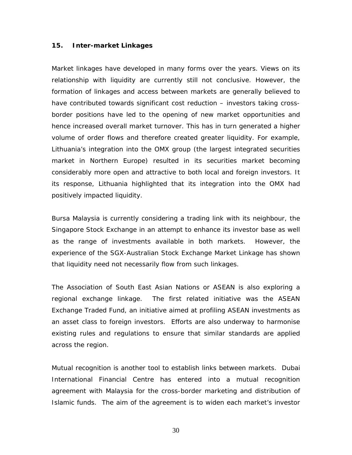#### **15. Inter-market Linkages**

Market linkages have developed in many forms over the years. Views on its relationship with liquidity are currently still not conclusive. However, the formation of linkages and access between markets are generally believed to have contributed towards significant cost reduction – investors taking crossborder positions have led to the opening of new market opportunities and hence increased overall market turnover. This has in turn generated a higher volume of order flows and therefore created greater liquidity. For example, Lithuania's integration into the OMX group (the largest integrated securities market in Northern Europe) resulted in its securities market becoming considerably more open and attractive to both local and foreign investors. It its response, Lithuania highlighted that its integration into the OMX had positively impacted liquidity.

Bursa Malaysia is currently considering a trading link with its neighbour, the Singapore Stock Exchange in an attempt to enhance its investor base as well as the range of investments available in both markets. However, the experience of the SGX-Australian Stock Exchange Market Linkage has shown that liquidity need not necessarily flow from such linkages.

The Association of South East Asian Nations or ASEAN is also exploring a regional exchange linkage. The first related initiative was the ASEAN Exchange Traded Fund, an initiative aimed at profiling ASEAN investments as an asset class to foreign investors. Efforts are also underway to harmonise existing rules and regulations to ensure that similar standards are applied across the region.

Mutual recognition is another tool to establish links between markets. Dubai International Financial Centre has entered into a mutual recognition agreement with Malaysia for the cross-border marketing and distribution of Islamic funds. The aim of the agreement is to widen each market's investor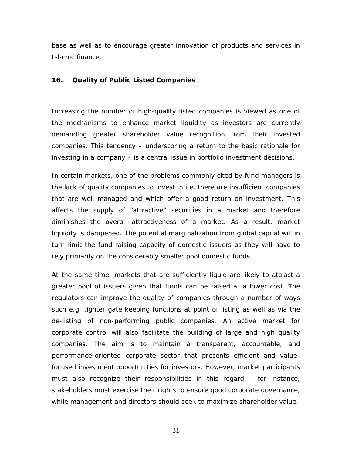base as well as to encourage greater innovation of products and services in Islamic finance.

#### **16. Quality of Public Listed Companies**

Increasing the number of high-quality listed companies is viewed as one of the mechanisms to enhance market liquidity as investors are currently demanding greater shareholder value recognition from their invested companies. This tendency – underscoring a return to the basic rationale for investing in a company – is a central issue in portfolio investment decisions.

In certain markets, one of the problems commonly cited by fund managers is the lack of quality companies to invest in i.e. there are insufficient companies that are well managed and which offer a good return on investment. This affects the supply of "attractive" securities in a market and therefore diminishes the overall attractiveness of a market. As a result, market liquidity is dampened. The potential marginalization from global capital will in turn limit the fund-raising capacity of domestic issuers as they will have to rely primarily on the considerably smaller pool domestic funds.

At the same time, markets that are sufficiently liquid are likely to attract a greater pool of issuers given that funds can be raised at a lower cost. The regulators can improve the quality of companies through a number of ways such e.g. tighter gate keeping functions at point of listing as well as via the de-listing of non-performing public companies. An active market for corporate control will also facilitate the building of large and high quality companies. The aim is to maintain a transparent, accountable, and performance-oriented corporate sector that presents efficient and valuefocused investment opportunities for investors. However, market participants must also recognize their responsibilities in this regard – for instance, stakeholders must exercise their rights to ensure good corporate governance, while management and directors should seek to maximize shareholder value.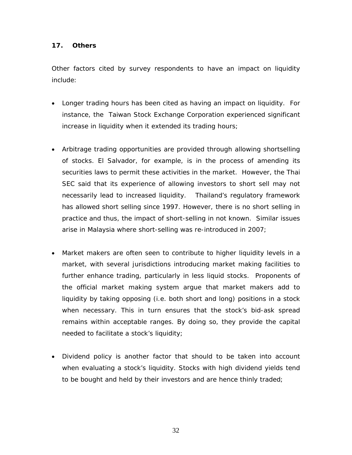## **17. Others**

Other factors cited by survey respondents to have an impact on liquidity include:

- Longer trading hours has been cited as having an impact on liquidity. For instance, the Taiwan Stock Exchange Corporation experienced significant increase in liquidity when it extended its trading hours;
- Arbitrage trading opportunities are provided through allowing shortselling of stocks. El Salvador, for example, is in the process of amending its securities laws to permit these activities in the market. However, the Thai SEC said that its experience of allowing investors to short sell may not necessarily lead to increased liquidity. Thailand's regulatory framework has allowed short selling since 1997. However, there is no short selling in practice and thus, the impact of short-selling in not known. Similar issues arise in Malaysia where short-selling was re-introduced in 2007;
- Market makers are often seen to contribute to higher liquidity levels in a market, with several jurisdictions introducing market making facilities to further enhance trading, particularly in less liquid stocks. Proponents of the official market making system argue that market makers add to liquidity by taking opposing (i.e. both short and long) positions in a stock when necessary. This in turn ensures that the stock's bid-ask spread remains within acceptable ranges. By doing so, they provide the capital needed to facilitate a stock's liquidity;
- Dividend policy is another factor that should to be taken into account when evaluating a stock's liquidity. Stocks with high dividend yields tend to be bought and held by their investors and are hence thinly traded;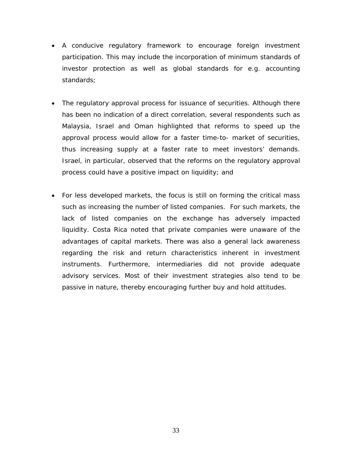- A conducive regulatory framework to encourage foreign investment participation. This may include the incorporation of minimum standards of investor protection as well as global standards for e.g. accounting standards;
- The regulatory approval process for issuance of securities. Although there has been no indication of a direct correlation, several respondents such as Malaysia, Israel and Oman highlighted that reforms to speed up the approval process would allow for a faster time-to- market of securities, thus increasing supply at a faster rate to meet investors' demands. Israel, in particular, observed that the reforms on the regulatory approval process could have a positive impact on liquidity; and
- For less developed markets, the focus is still on forming the critical mass such as increasing the number of listed companies. For such markets, the lack of listed companies on the exchange has adversely impacted liquidity. Costa Rica noted that private companies were unaware of the advantages of capital markets. There was also a general lack awareness regarding the risk and return characteristics inherent in investment instruments. Furthermore, intermediaries did not provide adequate advisory services. Most of their investment strategies also tend to be passive in nature, thereby encouraging further buy and hold attitudes.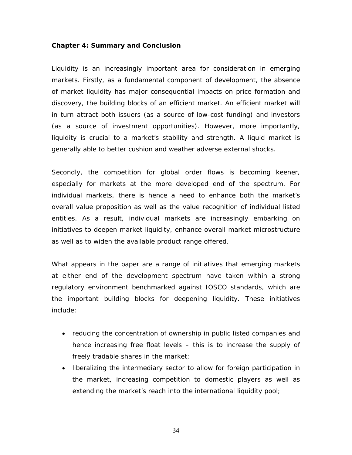#### **Chapter 4: Summary and Conclusion**

Liquidity is an increasingly important area for consideration in emerging markets. Firstly, as a fundamental component of development, the absence of market liquidity has major consequential impacts on price formation and discovery, the building blocks of an efficient market. An efficient market will in turn attract both issuers (as a source of low-cost funding) and investors (as a source of investment opportunities). However, more importantly, liquidity is crucial to a market's stability and strength. A liquid market is generally able to better cushion and weather adverse external shocks.

Secondly, the competition for global order flows is becoming keener, especially for markets at the more developed end of the spectrum. For individual markets, there is hence a need to enhance both the market's overall value proposition as well as the value recognition of individual listed entities. As a result, individual markets are increasingly embarking on initiatives to deepen market liquidity, enhance overall market microstructure as well as to widen the available product range offered.

What appears in the paper are a range of initiatives that emerging markets at either end of the development spectrum have taken within a strong regulatory environment benchmarked against IOSCO standards, which are the important building blocks for deepening liquidity. These initiatives include:

- reducing the concentration of ownership in public listed companies and hence increasing free float levels – this is to increase the supply of freely tradable shares in the market;
- liberalizing the intermediary sector to allow for foreign participation in the market, increasing competition to domestic players as well as extending the market's reach into the international liquidity pool;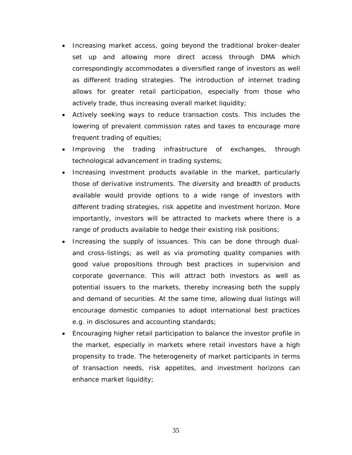- Increasing market access, going beyond the traditional broker-dealer set up and allowing more direct access through DMA which correspondingly accommodates a diversified range of investors as well as different trading strategies. The introduction of internet trading allows for greater retail participation, especially from those who actively trade, thus increasing overall market liquidity;
- Actively seeking ways to reduce transaction costs. This includes the lowering of prevalent commission rates and taxes to encourage more frequent trading of equities;
- Improving the trading infrastructure of exchanges, through technological advancement in trading systems;
- Increasing investment products available in the market, particularly those of derivative instruments. The diversity and breadth of products available would provide options to a wide range of investors with different trading strategies, risk appetite and investment horizon. More importantly, investors will be attracted to markets where there is a range of products available to hedge their existing risk positions;
- Increasing the supply of issuances. This can be done through dualand cross-listings; as well as via promoting quality companies with good value propositions through best practices in supervision and corporate governance. This will attract both investors as well as potential issuers to the markets, thereby increasing both the supply and demand of securities. At the same time, allowing dual listings will encourage domestic companies to adopt international best practices e.g. in disclosures and accounting standards;
- Encouraging higher retail participation to balance the investor profile in the market, especially in markets where retail investors have a high propensity to trade. The heterogeneity of market participants in terms of transaction needs, risk appetites, and investment horizons can enhance market liquidity;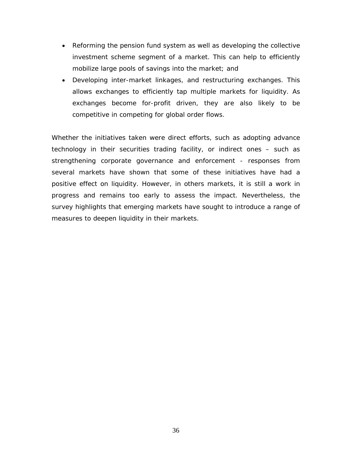- Reforming the pension fund system as well as developing the collective investment scheme segment of a market. This can help to efficiently mobilize large pools of savings into the market; and
- Developing inter-market linkages, and restructuring exchanges. This allows exchanges to efficiently tap multiple markets for liquidity. As exchanges become for-profit driven, they are also likely to be competitive in competing for global order flows.

Whether the initiatives taken were direct efforts, such as adopting advance technology in their securities trading facility, or indirect ones – such as strengthening corporate governance and enforcement - responses from several markets have shown that some of these initiatives have had a positive effect on liquidity. However, in others markets, it is still a work in progress and remains too early to assess the impact. Nevertheless, the survey highlights that emerging markets have sought to introduce a range of measures to deepen liquidity in their markets.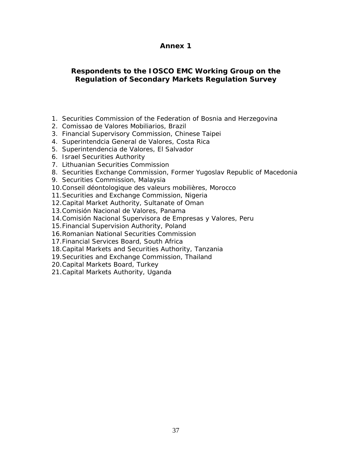## **Annex 1**

## **Respondents to the IOSCO EMC Working Group on the Regulation of Secondary Markets Regulation Survey**

- 1. Securities Commission of the Federation of Bosnia and Herzegovina
- 2. Comissao de Valores Mobiliarios, Brazil
- 3. Financial Supervisory Commission, Chinese Taipei
- 4. Superintendcia General de Valores, Costa Rica
- 5. Superintendencia de Valores, El Salvador
- 6. Israel Securities Authority
- 7. Lithuanian Securities Commission
- 8. Securities Exchange Commission, Former Yugoslav Republic of Macedonia
- 9. Securities Commission, Malaysia
- 10.Conseil déontologique des valeurs mobilières, Morocco
- 11.Securities and Exchange Commission, Nigeria
- 12.Capital Market Authority, Sultanate of Oman
- 13.Comisión Nacional de Valores, Panama
- 14.Comisión Nacional Supervisora de Empresas y Valores, Peru
- 15.Financial Supervision Authority, Poland
- 16.Romanian National Securities Commission
- 17.Financial Services Board, South Africa
- 18.Capital Markets and Securities Authority, Tanzania
- 19.Securities and Exchange Commission, Thailand
- 20.Capital Markets Board, Turkey
- 21.Capital Markets Authority, Uganda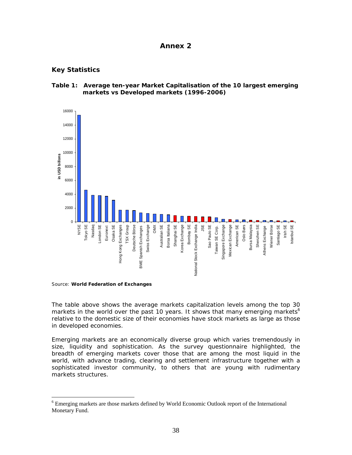#### **Annex 2**

## **Key Statistics**



**Table 1: Average ten-year Market Capitalisation of the 10 largest emerging markets vs Developed markets (1996-2006)** 

Source: **World Federation of Exchanges**

 $\overline{a}$ 

The table above shows the average markets capitalization levels among the top 30 markets in the world over the past 10 years. It shows that many emerging markets<sup>6</sup> relative to the domestic size of their economies have stock markets as large as those in developed economies.

Emerging markets are an economically diverse group which varies tremendously in size, liquidity and sophistication. As the survey questionnaire highlighted, the breadth of emerging markets cover those that are among the most liquid in the world, with advance trading, clearing and settlement infrastructure together with a sophisticated investor community, to others that are young with rudimentary markets structures.

<sup>&</sup>lt;sup>6</sup> Emerging markets are those markets defined by World Economic Outlook report of the International Monetary Fund.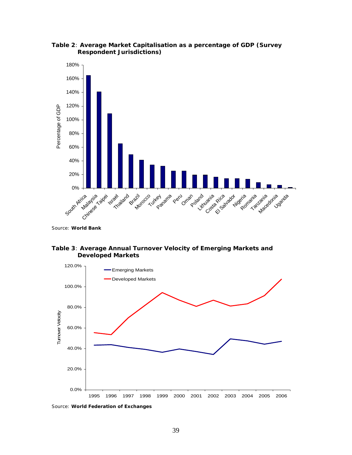

**Table 2**: **Average Market Capitalisation as a percentage of GDP (Survey Respondent Jurisdictions)**

Source: **World Bank**

#### **Table 3**: **Average Annual Turnover Velocity of Emerging Markets and Developed Markets**



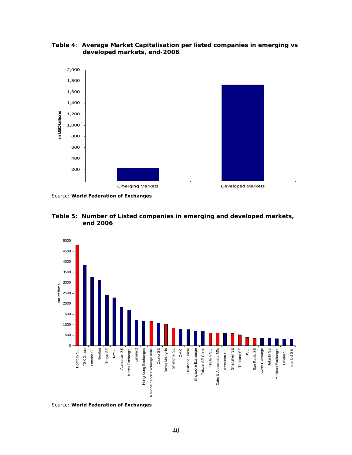

**Table 4**: **Average Market Capitalisation per listed companies in emerging vs developed markets, end-2006** 

Source: **World Federation of Exchanges**





Source: **World Federation of Exchanges**